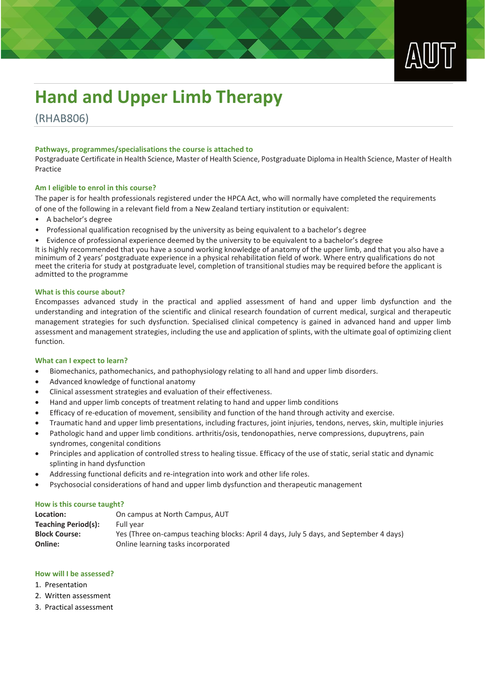

# **Hand and Upper Limb Therapy**

(RHAB806)

# **Pathways, programmes/specialisations the course is attached to**

Postgraduate Certificate in Health Science, Master of Health Science, Postgraduate Diploma in Health Science, Master of Health Practice

### **Am I eligible to enrol in this course?**

The paper is for health professionals registered under the HPCA Act, who will normally have completed the requirements of one of the following in a relevant field from a New Zealand tertiary institution or equivalent:

- A bachelor's degree
- Professional qualification recognised by the university as being equivalent to a bachelor's degree
- Evidence of professional experience deemed by the university to be equivalent to a bachelor's degree

It is highly recommended that you have a sound working knowledge of anatomy of the upper limb, and that you also have a minimum of 2 years' postgraduate experience in a physical rehabilitation field of work. Where entry qualifications do not meet the criteria for study at postgraduate level, completion of transitional studies may be required before the applicant is admitted to the programme

### **What is this course about?**

Encompasses advanced study in the practical and applied assessment of hand and upper limb dysfunction and the understanding and integration of the scientific and clinical research foundation of current medical, surgical and therapeutic management strategies for such dysfunction. Specialised clinical competency is gained in advanced hand and upper limb assessment and management strategies, including the use and application of splints, with the ultimate goal of optimizing client function.

### **What can I expect to learn?**

- Biomechanics, pathomechanics, and pathophysiology relating to all hand and upper limb disorders.
- Advanced knowledge of functional anatomy
- Clinical assessment strategies and evaluation of their effectiveness.
- Hand and upper limb concepts of treatment relating to hand and upper limb conditions
- Efficacy of re-education of movement, sensibility and function of the hand through activity and exercise.
- Traumatic hand and upper limb presentations, including fractures, joint injuries, tendons, nerves, skin, multiple injuries
- Pathologic hand and upper limb conditions. arthritis/osis, tendonopathies, nerve compressions, dupuytrens, pain syndromes, congenital conditions
- Principles and application of controlled stress to healing tissue. Efficacy of the use of static, serial static and dynamic splinting in hand dysfunction
- Addressing functional deficits and re-integration into work and other life roles.
- Psychosocial considerations of hand and upper limb dysfunction and therapeutic management

### **How is this course taught?**

| Location:            | On campus at North Campus, AUT                                                         |
|----------------------|----------------------------------------------------------------------------------------|
| Teaching Period(s):  | Full vear                                                                              |
| <b>Block Course:</b> | Yes (Three on-campus teaching blocks: April 4 days, July 5 days, and September 4 days) |
| Online:              | Online learning tasks incorporated                                                     |

# **How will I be assessed?**

- 1. Presentation
- 2. Written assessment
- 3. Practical assessment